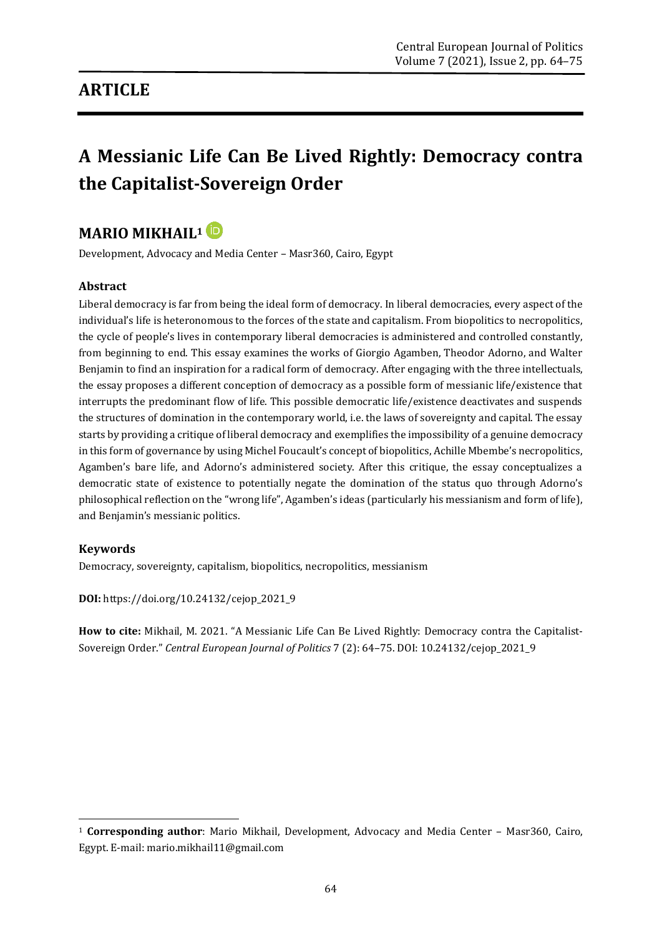## **ARTICLE**

# **A Messianic Life Can Be Lived Rightly: Democracy contra the Capitalist-Sovereign Order**

### **MARIO MIKHAIL<sup>1</sup>**

Development, Advocacy and Media Center – Masr360, Cairo, Egypt

#### **Abstract**

Liberal democracy is far from being the ideal form of democracy. In liberal democracies, every aspect of the individual's life is heteronomous to the forces of the state and capitalism. From biopolitics to necropolitics, the cycle of people's lives in contemporary liberal democracies is administered and controlled constantly, from beginning to end. This essay examines the works of Giorgio Agamben, Theodor Adorno, and Walter Benjamin to find an inspiration for a radical form of democracy. After engaging with the three intellectuals, the essay proposes a different conception of democracy as a possible form of messianic life/existence that interrupts the predominant flow of life. This possible democratic life/existence deactivates and suspends the structures of domination in the contemporary world, i.e. the laws of sovereignty and capital. The essay starts by providing a critique of liberal democracy and exemplifies the impossibility of a genuine democracy in this form of governance by using Michel Foucault's concept of biopolitics, Achille Mbembe's necropolitics, Agamben's bare life, and Adorno's administered society. After this critique, the essay conceptualizes a democratic state of existence to potentially negate the domination of the status quo through Adorno's philosophical reflection on the "wrong life", Agamben's ideas (particularly his messianism and form of life), and Benjamin's messianic politics.

#### **Keywords**

**.** 

Democracy, sovereignty, capitalism, biopolitics, necropolitics, messianism

**DOI:** [https://doi.org/10.24132/c](https://doi.org/10.24132/?fbclid=IwAR3FkqEiC5TEXLTbL5NNy6GcEElvMDqetW3csS9Beo10se4egOWiQ6llCvs)ejop\_2021\_9

**How to cite:** Mikhail, M. 2021. "A Messianic Life Can Be Lived Rightly: Democracy contra the Capitalist-Sovereign Order." *Central European Journal of Politics* 7 (2): 64–75. DOI: 10.24132/cejop\_2021\_9

<sup>1</sup> **Corresponding author**: Mario Mikhail, Development, Advocacy and Media Center – Masr360, Cairo, Egypt. E-mail: mario.mikhail11@gmail.com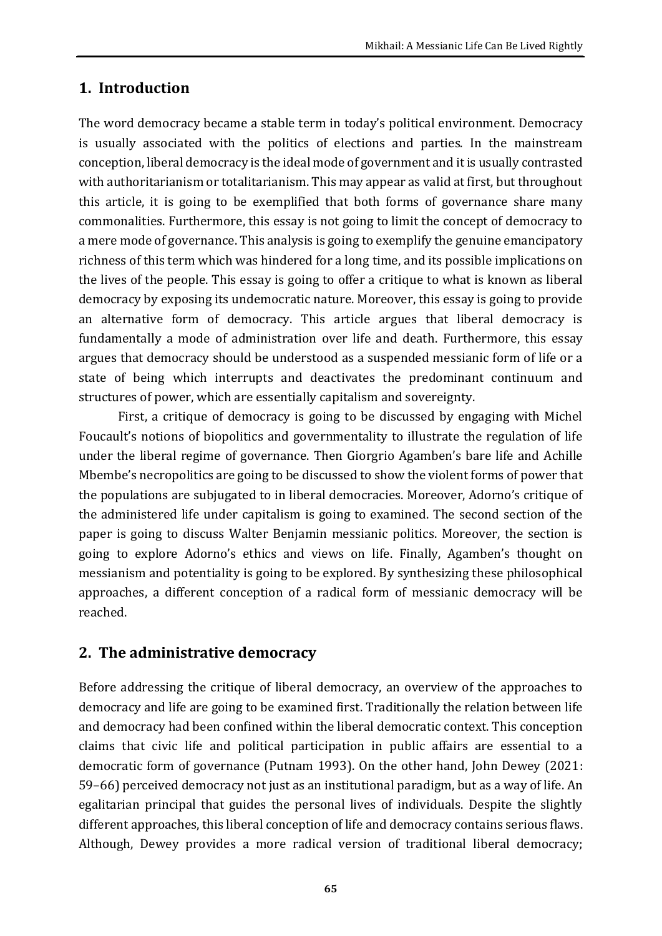### **1. Introduction**

The word democracy became a stable term in today's political environment. Democracy is usually associated with the politics of elections and parties. In the mainstream conception, liberal democracy is the ideal mode of government and it is usually contrasted with authoritarianism or totalitarianism. This may appear as valid at first, but throughout this article, it is going to be exemplified that both forms of governance share many commonalities. Furthermore, this essay is not going to limit the concept of democracy to a mere mode of governance. This analysis is going to exemplify the genuine emancipatory richness of this term which was hindered for a long time, and its possible implications on the lives of the people. This essay is going to offer a critique to what is known as liberal democracy by exposing its undemocratic nature. Moreover, this essay is going to provide an alternative form of democracy. This article argues that liberal democracy is fundamentally a mode of administration over life and death. Furthermore, this essay argues that democracy should be understood as a suspended messianic form of life or a state of being which interrupts and deactivates the predominant continuum and structures of power, which are essentially capitalism and sovereignty.

First, a critique of democracy is going to be discussed by engaging with Michel Foucault's notions of biopolitics and governmentality to illustrate the regulation of life under the liberal regime of governance. Then Giorgrio Agamben's bare life and Achille Mbembe's necropolitics are going to be discussed to show the violent forms of power that the populations are subjugated to in liberal democracies. Moreover, Adorno's critique of the administered life under capitalism is going to examined. The second section of the paper is going to discuss Walter Benjamin messianic politics. Moreover, the section is going to explore Adorno's ethics and views on life. Finally, Agamben's thought on messianism and potentiality is going to be explored. By synthesizing these philosophical approaches, a different conception of a radical form of messianic democracy will be reached.

### **2. The administrative democracy**

Before addressing the critique of liberal democracy, an overview of the approaches to democracy and life are going to be examined first. Traditionally the relation between life and democracy had been confined within the liberal democratic context. This conception claims that civic life and political participation in public affairs are essential to a democratic form of governance (Putnam 1993). On the other hand, John Dewey (2021: 59–66) perceived democracy not just as an institutional paradigm, but as a way of life. An egalitarian principal that guides the personal lives of individuals. Despite the slightly different approaches, this liberal conception of life and democracy contains serious flaws. Although, Dewey provides a more radical version of traditional liberal democracy;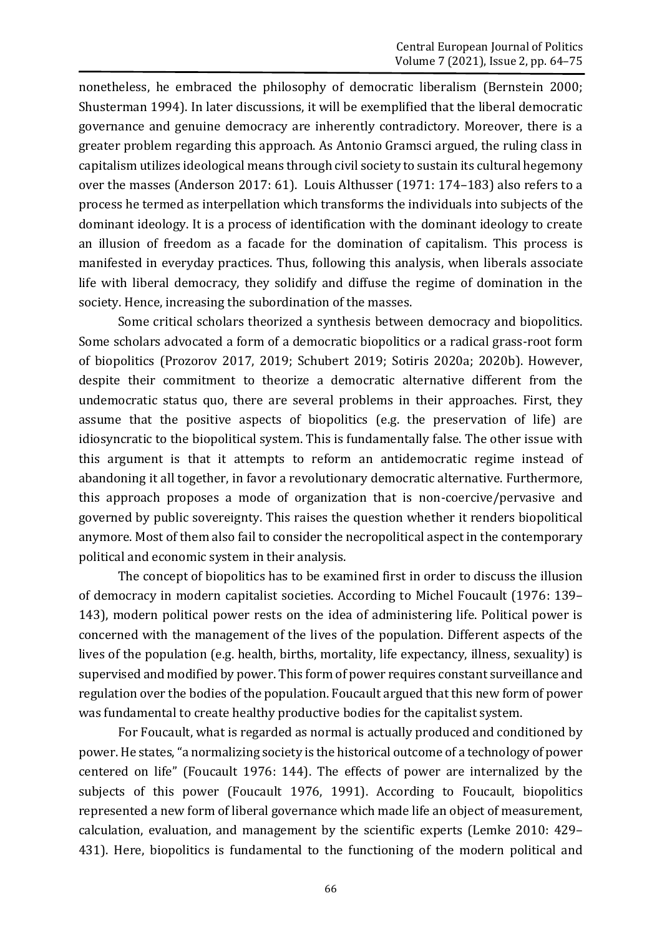nonetheless, he embraced the philosophy of democratic liberalism (Bernstein 2000; Shusterman 1994). In later discussions, it will be exemplified that the liberal democratic governance and genuine democracy are inherently contradictory. Moreover, there is a greater problem regarding this approach. As Antonio Gramsci argued, the ruling class in capitalism utilizes ideological means through civil society to sustain its cultural hegemony over the masses (Anderson 2017: 61). Louis Althusser (1971: 174–183) also refers to a process he termed as interpellation which transforms the individuals into subjects of the dominant ideology. It is a process of identification with the dominant ideology to create an illusion of freedom as a facade for the domination of capitalism. This process is manifested in everyday practices. Thus, following this analysis, when liberals associate life with liberal democracy, they solidify and diffuse the regime of domination in the society. Hence, increasing the subordination of the masses.

Some critical scholars theorized a synthesis between democracy and biopolitics. Some scholars advocated a form of a democratic biopolitics or a radical grass-root form of biopolitics (Prozorov 2017, 2019; Schubert 2019; Sotiris 2020a; 2020b). However, despite their commitment to theorize a democratic alternative different from the undemocratic status quo, there are several problems in their approaches. First, they assume that the positive aspects of biopolitics (e.g. the preservation of life) are idiosyncratic to the biopolitical system. This is fundamentally false. The other issue with this argument is that it attempts to reform an antidemocratic regime instead of abandoning it all together, in favor a revolutionary democratic alternative. Furthermore, this approach proposes a mode of organization that is non-coercive/pervasive and governed by public sovereignty. This raises the question whether it renders biopolitical anymore. Most of them also fail to consider the necropolitical aspect in the contemporary political and economic system in their analysis.

The concept of biopolitics has to be examined first in order to discuss the illusion of democracy in modern capitalist societies. According to Michel Foucault (1976: 139– 143), modern political power rests on the idea of administering life. Political power is concerned with the management of the lives of the population. Different aspects of the lives of the population (e.g. health, births, mortality, life expectancy, illness, sexuality) is supervised and modified by power. This form of power requires constant surveillance and regulation over the bodies of the population. Foucault argued that this new form of power was fundamental to create healthy productive bodies for the capitalist system.

For Foucault, what is regarded as normal is actually produced and conditioned by power. He states, "a normalizing society is the historical outcome of a technology of power centered on life" (Foucault 1976: 144). The effects of power are internalized by the subjects of this power (Foucault 1976, 1991). According to Foucault, biopolitics represented a new form of liberal governance which made life an object of measurement, calculation, evaluation, and management by the scientific experts (Lemke 2010: 429– 431). Here, biopolitics is fundamental to the functioning of the modern political and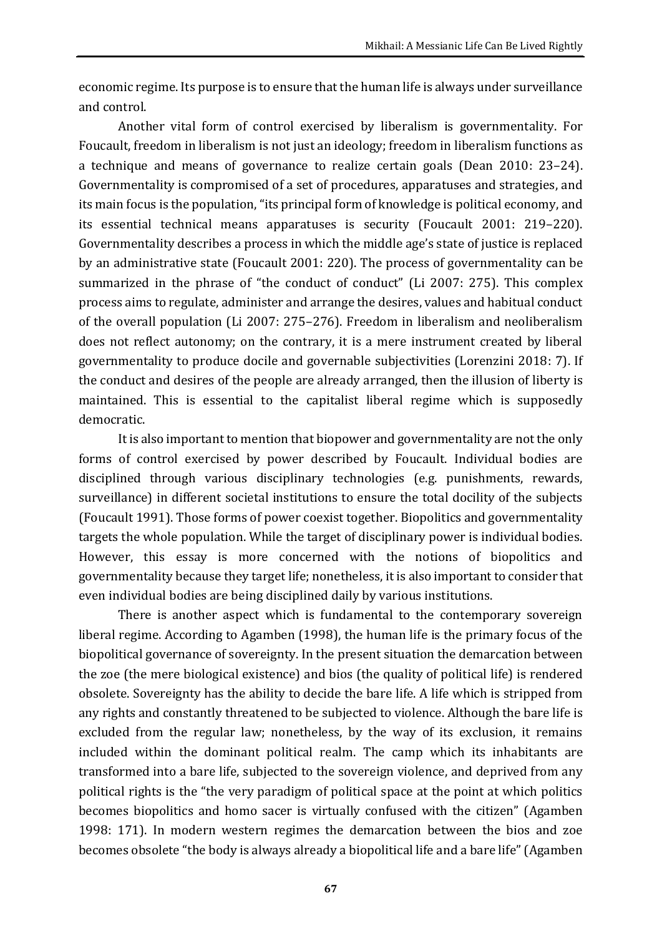economic regime. Its purpose is to ensure that the human life is always under surveillance and control.

Another vital form of control exercised by liberalism is governmentality. For Foucault, freedom in liberalism is not just an ideology; freedom in liberalism functions as a technique and means of governance to realize certain goals (Dean 2010: 23–24). Governmentality is compromised of a set of procedures, apparatuses and strategies, and its main focus is the population, "its principal form of knowledge is political economy, and its essential technical means apparatuses is security (Foucault 2001: 219–220). Governmentality describes a process in which the middle age's state of justice is replaced by an administrative state (Foucault 2001: 220). The process of governmentality can be summarized in the phrase of "the conduct of conduct" (Li 2007: 275). This complex process aims to regulate, administer and arrange the desires, values and habitual conduct of the overall population (Li 2007: 275–276). Freedom in liberalism and neoliberalism does not reflect autonomy; on the contrary, it is a mere instrument created by liberal governmentality to produce docile and governable subjectivities (Lorenzini 2018: 7). If the conduct and desires of the people are already arranged, then the illusion of liberty is maintained. This is essential to the capitalist liberal regime which is supposedly democratic.

It is also important to mention that biopower and governmentality are not the only forms of control exercised by power described by Foucault. Individual bodies are disciplined through various disciplinary technologies (e.g. punishments, rewards, surveillance) in different societal institutions to ensure the total docility of the subjects (Foucault 1991). Those forms of power coexist together. Biopolitics and governmentality targets the whole population. While the target of disciplinary power is individual bodies. However, this essay is more concerned with the notions of biopolitics and governmentality because they target life; nonetheless, it is also important to consider that even individual bodies are being disciplined daily by various institutions.

There is another aspect which is fundamental to the contemporary sovereign liberal regime. According to Agamben (1998), the human life is the primary focus of the biopolitical governance of sovereignty. In the present situation the demarcation between the zoe (the mere biological existence) and bios (the quality of political life) is rendered obsolete. Sovereignty has the ability to decide the bare life. A life which is stripped from any rights and constantly threatened to be subjected to violence. Although the bare life is excluded from the regular law; nonetheless, by the way of its exclusion, it remains included within the dominant political realm. The camp which its inhabitants are transformed into a bare life, subjected to the sovereign violence, and deprived from any political rights is the "the very paradigm of political space at the point at which politics becomes biopolitics and homo sacer is virtually confused with the citizen" (Agamben 1998: 171). In modern western regimes the demarcation between the bios and zoe becomes obsolete "the body is always already a biopolitical life and a bare life" (Agamben

**67**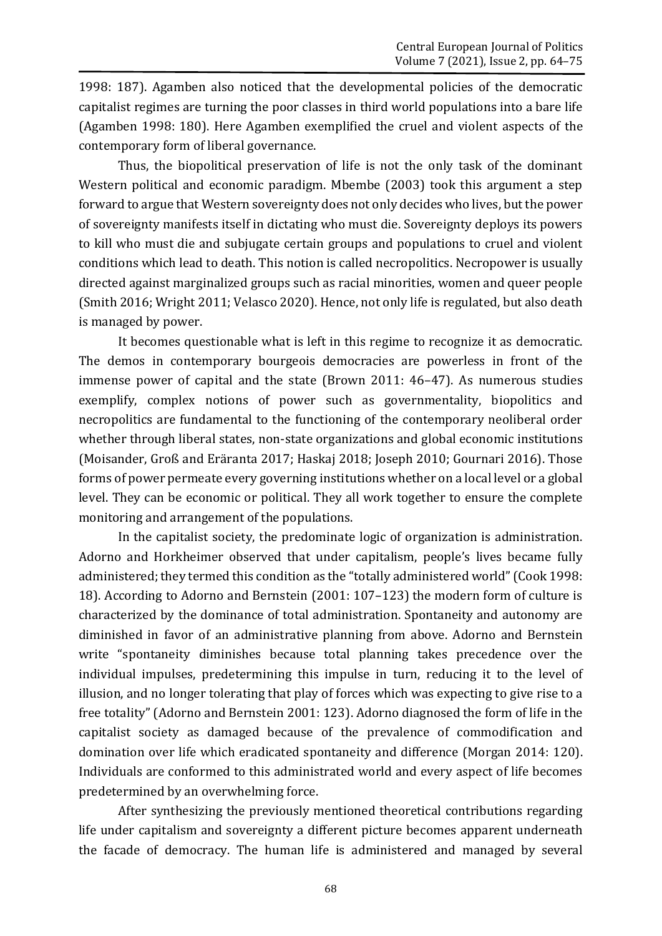1998: 187). Agamben also noticed that the developmental policies of the democratic capitalist regimes are turning the poor classes in third world populations into a bare life (Agamben 1998: 180). Here Agamben exemplified the cruel and violent aspects of the contemporary form of liberal governance.

Thus, the biopolitical preservation of life is not the only task of the dominant Western political and economic paradigm. Mbembe (2003) took this argument a step forward to argue that Western sovereignty does not only decides who lives, but the power of sovereignty manifests itself in dictating who must die. Sovereignty deploys its powers to kill who must die and subjugate certain groups and populations to cruel and violent conditions which lead to death. This notion is called necropolitics. Necropower is usually directed against marginalized groups such as racial minorities, women and queer people (Smith 2016; Wright 2011; Velasco 2020). Hence, not only life is regulated, but also death is managed by power.

It becomes questionable what is left in this regime to recognize it as democratic. The demos in contemporary bourgeois democracies are powerless in front of the immense power of capital and the state (Brown 2011: 46–47). As numerous studies exemplify, complex notions of power such as governmentality, biopolitics and necropolitics are fundamental to the functioning of the contemporary neoliberal order whether through liberal states, non-state organizations and global economic institutions (Moisander, Groß and Eräranta 2017; Haskaj 2018; Joseph 2010; Gournari 2016). Those forms of power permeate every governing institutions whether on a local level or a global level. They can be economic or political. They all work together to ensure the complete monitoring and arrangement of the populations.

In the capitalist society, the predominate logic of organization is administration. Adorno and Horkheimer observed that under capitalism, people's lives became fully administered; they termed this condition as the "totally administered world" (Cook 1998: 18). According to Adorno and Bernstein (2001: 107–123) the modern form of culture is characterized by the dominance of total administration. Spontaneity and autonomy are diminished in favor of an administrative planning from above. Adorno and Bernstein write "spontaneity diminishes because total planning takes precedence over the individual impulses, predetermining this impulse in turn, reducing it to the level of illusion, and no longer tolerating that play of forces which was expecting to give rise to a free totality" (Adorno and Bernstein 2001: 123). Adorno diagnosed the form of life in the capitalist society as damaged because of the prevalence of commodification and domination over life which eradicated spontaneity and difference (Morgan 2014: 120). Individuals are conformed to this administrated world and every aspect of life becomes predetermined by an overwhelming force.

After synthesizing the previously mentioned theoretical contributions regarding life under capitalism and sovereignty a different picture becomes apparent underneath the facade of democracy. The human life is administered and managed by several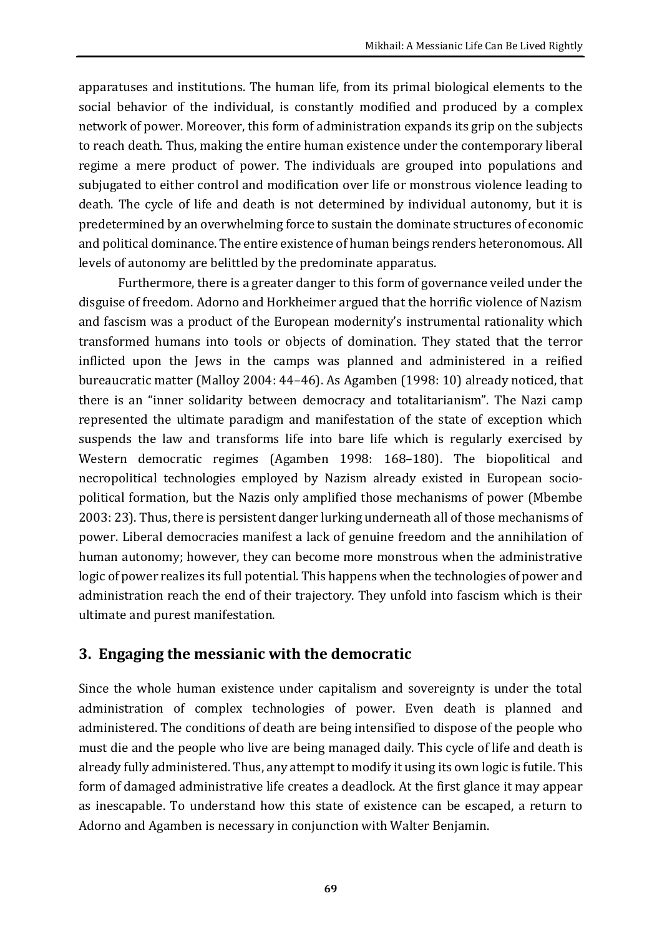apparatuses and institutions. The human life, from its primal biological elements to the social behavior of the individual, is constantly modified and produced by a complex network of power. Moreover, this form of administration expands its grip on the subjects to reach death. Thus, making the entire human existence under the contemporary liberal regime a mere product of power. The individuals are grouped into populations and subjugated to either control and modification over life or monstrous violence leading to death. The cycle of life and death is not determined by individual autonomy, but it is predetermined by an overwhelming force to sustain the dominate structures of economic and political dominance. The entire existence of human beings renders heteronomous. All levels of autonomy are belittled by the predominate apparatus.

Furthermore, there is a greater danger to this form of governance veiled under the disguise of freedom. Adorno and Horkheimer argued that the horrific violence of Nazism and fascism was a product of the European modernity's instrumental rationality which transformed humans into tools or objects of domination. They stated that the terror inflicted upon the Jews in the camps was planned and administered in a reified bureaucratic matter (Malloy 2004: 44–46). As Agamben (1998: 10) already noticed, that there is an "inner solidarity between democracy and totalitarianism". The Nazi camp represented the ultimate paradigm and manifestation of the state of exception which suspends the law and transforms life into bare life which is regularly exercised by Western democratic regimes (Agamben 1998: 168–180). The biopolitical and necropolitical technologies employed by Nazism already existed in European sociopolitical formation, but the Nazis only amplified those mechanisms of power (Mbembe 2003: 23). Thus, there is persistent danger lurking underneath all of those mechanisms of power. Liberal democracies manifest a lack of genuine freedom and the annihilation of human autonomy; however, they can become more monstrous when the administrative logic of power realizes its full potential. This happens when the technologies of power and administration reach the end of their trajectory. They unfold into fascism which is their ultimate and purest manifestation.

### **3. Engaging the messianic with the democratic**

Since the whole human existence under capitalism and sovereignty is under the total administration of complex technologies of power. Even death is planned and administered. The conditions of death are being intensified to dispose of the people who must die and the people who live are being managed daily. This cycle of life and death is already fully administered. Thus, any attempt to modify it using its own logic is futile. This form of damaged administrative life creates a deadlock. At the first glance it may appear as inescapable. To understand how this state of existence can be escaped, a return to Adorno and Agamben is necessary in conjunction with Walter Benjamin.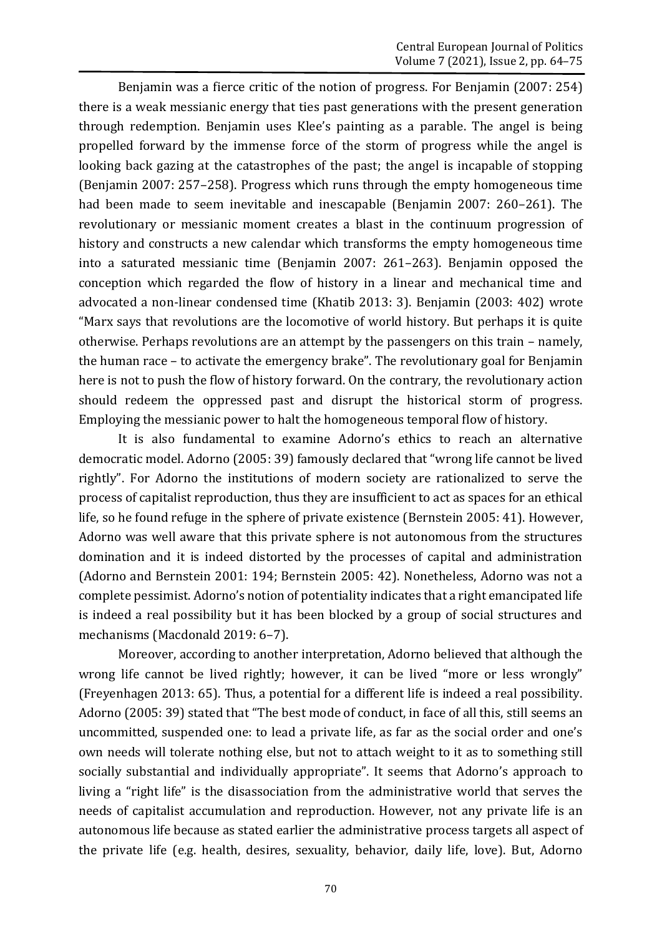Benjamin was a fierce critic of the notion of progress. For Benjamin (2007: 254) there is a weak messianic energy that ties past generations with the present generation through redemption. Benjamin uses Klee's painting as a parable. The angel is being propelled forward by the immense force of the storm of progress while the angel is looking back gazing at the catastrophes of the past; the angel is incapable of stopping (Benjamin 2007: 257–258). Progress which runs through the empty homogeneous time had been made to seem inevitable and inescapable (Benjamin 2007: 260–261). The revolutionary or messianic moment creates a blast in the continuum progression of history and constructs a new calendar which transforms the empty homogeneous time into a saturated messianic time (Benjamin 2007: 261–263). Benjamin opposed the conception which regarded the flow of history in a linear and mechanical time and advocated a non-linear condensed time (Khatib 2013: 3). Benjamin (2003: 402) wrote "Marx says that revolutions are the locomotive of world history. But perhaps it is quite otherwise. Perhaps revolutions are an attempt by the passengers on this train – namely, the human race – to activate the emergency brake". The revolutionary goal for Benjamin here is not to push the flow of history forward. On the contrary, the revolutionary action should redeem the oppressed past and disrupt the historical storm of progress. Employing the messianic power to halt the homogeneous temporal flow of history.

It is also fundamental to examine Adorno's ethics to reach an alternative democratic model. Adorno (2005: 39) famously declared that "wrong life cannot be lived rightly". For Adorno the institutions of modern society are rationalized to serve the process of capitalist reproduction, thus they are insufficient to act as spaces for an ethical life, so he found refuge in the sphere of private existence (Bernstein 2005: 41). However, Adorno was well aware that this private sphere is not autonomous from the structures domination and it is indeed distorted by the processes of capital and administration (Adorno and Bernstein 2001: 194; Bernstein 2005: 42). Nonetheless, Adorno was not a complete pessimist. Adorno's notion of potentiality indicates that a right emancipated life is indeed a real possibility but it has been blocked by a group of social structures and mechanisms (Macdonald 2019: 6–7).

Moreover, according to another interpretation, Adorno believed that although the wrong life cannot be lived rightly; however, it can be lived "more or less wrongly" (Freyenhagen 2013: 65). Thus, a potential for a different life is indeed a real possibility. Adorno (2005: 39) stated that "The best mode of conduct, in face of all this, still seems an uncommitted, suspended one: to lead a private life, as far as the social order and one's own needs will tolerate nothing else, but not to attach weight to it as to something still socially substantial and individually appropriate". It seems that Adorno's approach to living a "right life" is the disassociation from the administrative world that serves the needs of capitalist accumulation and reproduction. However, not any private life is an autonomous life because as stated earlier the administrative process targets all aspect of the private life (e.g. health, desires, sexuality, behavior, daily life, love). But, Adorno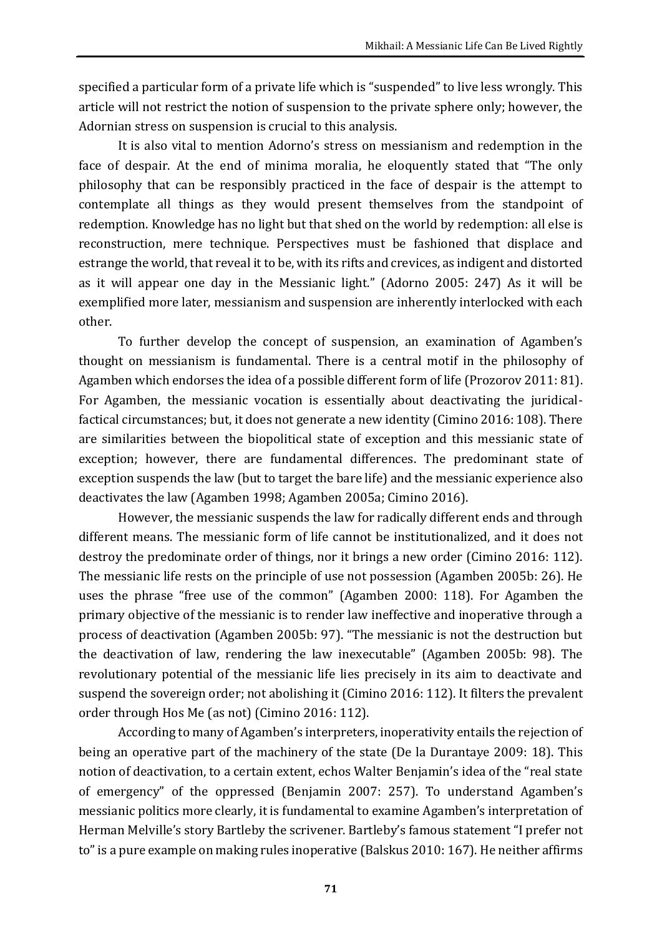specified a particular form of a private life which is "suspended" to live less wrongly. This article will not restrict the notion of suspension to the private sphere only; however, the Adornian stress on suspension is crucial to this analysis.

It is also vital to mention Adorno's stress on messianism and redemption in the face of despair. At the end of minima moralia, he eloquently stated that "The only philosophy that can be responsibly practiced in the face of despair is the attempt to contemplate all things as they would present themselves from the standpoint of redemption. Knowledge has no light but that shed on the world by redemption: all else is reconstruction, mere technique. Perspectives must be fashioned that displace and estrange the world, that reveal it to be, with its rifts and crevices, as indigent and distorted as it will appear one day in the Messianic light." (Adorno 2005: 247) As it will be exemplified more later, messianism and suspension are inherently interlocked with each other.

To further develop the concept of suspension, an examination of Agamben's thought on messianism is fundamental. There is a central motif in the philosophy of Agamben which endorses the idea of a possible different form of life (Prozorov 2011: 81). For Agamben, the messianic vocation is essentially about deactivating the juridicalfactical circumstances; but, it does not generate a new identity (Cimino 2016: 108). There are similarities between the biopolitical state of exception and this messianic state of exception; however, there are fundamental differences. The predominant state of exception suspends the law (but to target the bare life) and the messianic experience also deactivates the law (Agamben 1998; Agamben 2005a; Cimino 2016).

However, the messianic suspends the law for radically different ends and through different means. The messianic form of life cannot be institutionalized, and it does not destroy the predominate order of things, nor it brings a new order (Cimino 2016: 112). The messianic life rests on the principle of use not possession (Agamben 2005b: 26). He uses the phrase "free use of the common" (Agamben 2000: 118). For Agamben the primary objective of the messianic is to render law ineffective and inoperative through a process of deactivation (Agamben 2005b: 97). "The messianic is not the destruction but the deactivation of law, rendering the law inexecutable" (Agamben 2005b: 98). The revolutionary potential of the messianic life lies precisely in its aim to deactivate and suspend the sovereign order; not abolishing it (Cimino 2016: 112). It filters the prevalent order through Hos Me (as not) (Cimino 2016: 112).

According to many of Agamben's interpreters, inoperativity entails the rejection of being an operative part of the machinery of the state (De la Durantaye 2009: 18). This notion of deactivation, to a certain extent, echos Walter Benjamin's idea of the "real state of emergency" of the oppressed (Benjamin 2007: 257). To understand Agamben's messianic politics more clearly, it is fundamental to examine Agamben's interpretation of Herman Melville's story Bartleby the scrivener. Bartleby's famous statement "I prefer not to" is a pure example on making rules inoperative (Balskus 2010: 167). He neither affirms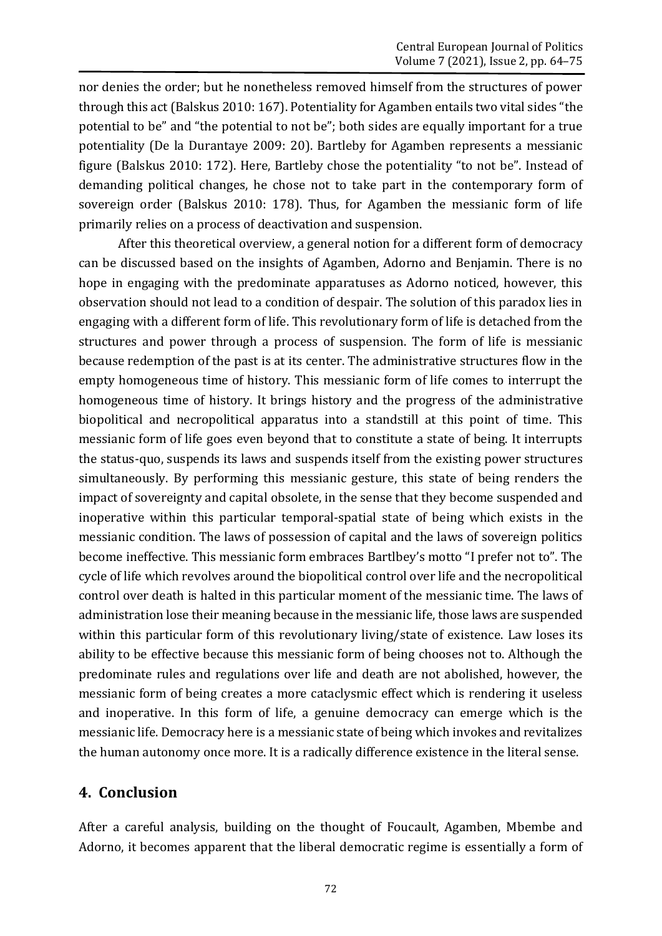nor denies the order; but he nonetheless removed himself from the structures of power through this act (Balskus 2010: 167). Potentiality for Agamben entails two vital sides "the potential to be" and "the potential to not be"; both sides are equally important for a true potentiality (De la Durantaye 2009: 20). Bartleby for Agamben represents a messianic figure (Balskus 2010: 172). Here, Bartleby chose the potentiality "to not be". Instead of demanding political changes, he chose not to take part in the contemporary form of sovereign order (Balskus 2010: 178). Thus, for Agamben the messianic form of life primarily relies on a process of deactivation and suspension.

After this theoretical overview, a general notion for a different form of democracy can be discussed based on the insights of Agamben, Adorno and Benjamin. There is no hope in engaging with the predominate apparatuses as Adorno noticed, however, this observation should not lead to a condition of despair. The solution of this paradox lies in engaging with a different form of life. This revolutionary form of life is detached from the structures and power through a process of suspension. The form of life is messianic because redemption of the past is at its center. The administrative structures flow in the empty homogeneous time of history. This messianic form of life comes to interrupt the homogeneous time of history. It brings history and the progress of the administrative biopolitical and necropolitical apparatus into a standstill at this point of time. This messianic form of life goes even beyond that to constitute a state of being. It interrupts the status-quo, suspends its laws and suspends itself from the existing power structures simultaneously. By performing this messianic gesture, this state of being renders the impact of sovereignty and capital obsolete, in the sense that they become suspended and inoperative within this particular temporal-spatial state of being which exists in the messianic condition. The laws of possession of capital and the laws of sovereign politics become ineffective. This messianic form embraces Bartlbey's motto "I prefer not to". The cycle of life which revolves around the biopolitical control over life and the necropolitical control over death is halted in this particular moment of the messianic time. The laws of administration lose their meaning because in the messianic life, those laws are suspended within this particular form of this revolutionary living/state of existence. Law loses its ability to be effective because this messianic form of being chooses not to. Although the predominate rules and regulations over life and death are not abolished, however, the messianic form of being creates a more cataclysmic effect which is rendering it useless and inoperative. In this form of life, a genuine democracy can emerge which is the messianic life. Democracy here is a messianic state of being which invokes and revitalizes the human autonomy once more. It is a radically difference existence in the literal sense.

#### **4. Conclusion**

After a careful analysis, building on the thought of Foucault, Agamben, Mbembe and Adorno, it becomes apparent that the liberal democratic regime is essentially a form of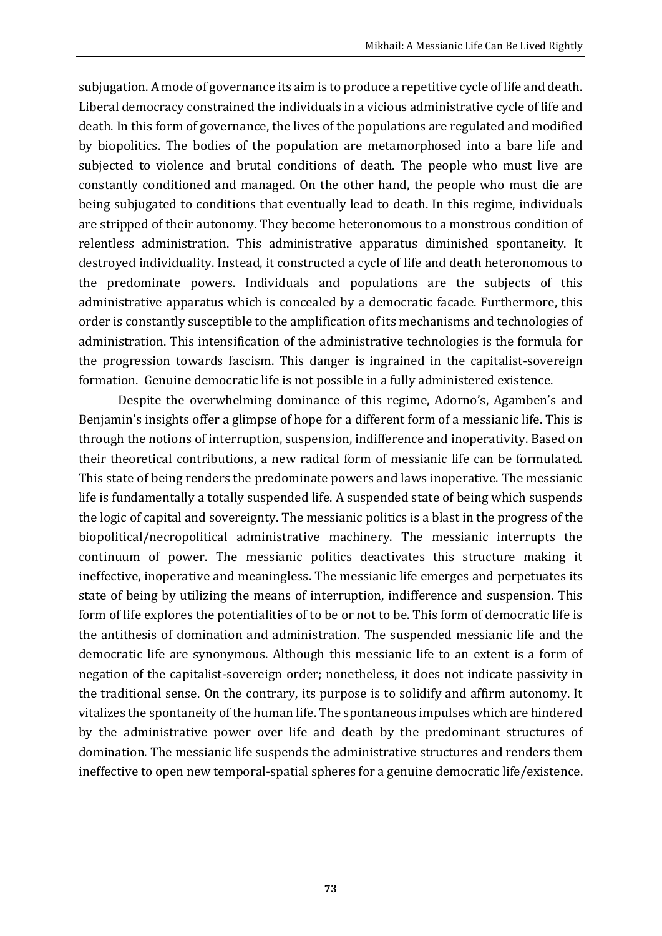subjugation. A mode of governance its aim is to produce a repetitive cycle of life and death. Liberal democracy constrained the individuals in a vicious administrative cycle of life and death. In this form of governance, the lives of the populations are regulated and modified by biopolitics. The bodies of the population are metamorphosed into a bare life and subjected to violence and brutal conditions of death. The people who must live are constantly conditioned and managed. On the other hand, the people who must die are being subjugated to conditions that eventually lead to death. In this regime, individuals are stripped of their autonomy. They become heteronomous to a monstrous condition of relentless administration. This administrative apparatus diminished spontaneity. It destroyed individuality. Instead, it constructed a cycle of life and death heteronomous to the predominate powers. Individuals and populations are the subjects of this administrative apparatus which is concealed by a democratic facade. Furthermore, this order is constantly susceptible to the amplification of its mechanisms and technologies of administration. This intensification of the administrative technologies is the formula for the progression towards fascism. This danger is ingrained in the capitalist-sovereign formation. Genuine democratic life is not possible in a fully administered existence.

Despite the overwhelming dominance of this regime, Adorno's, Agamben's and Benjamin's insights offer a glimpse of hope for a different form of a messianic life. This is through the notions of interruption, suspension, indifference and inoperativity. Based on their theoretical contributions, a new radical form of messianic life can be formulated. This state of being renders the predominate powers and laws inoperative. The messianic life is fundamentally a totally suspended life. A suspended state of being which suspends the logic of capital and sovereignty. The messianic politics is a blast in the progress of the biopolitical/necropolitical administrative machinery. The messianic interrupts the continuum of power. The messianic politics deactivates this structure making it ineffective, inoperative and meaningless. The messianic life emerges and perpetuates its state of being by utilizing the means of interruption, indifference and suspension. This form of life explores the potentialities of to be or not to be. This form of democratic life is the antithesis of domination and administration. The suspended messianic life and the democratic life are synonymous. Although this messianic life to an extent is a form of negation of the capitalist-sovereign order; nonetheless, it does not indicate passivity in the traditional sense. On the contrary, its purpose is to solidify and affirm autonomy. It vitalizes the spontaneity of the human life. The spontaneous impulses which are hindered by the administrative power over life and death by the predominant structures of domination. The messianic life suspends the administrative structures and renders them ineffective to open new temporal-spatial spheres for a genuine democratic life/existence.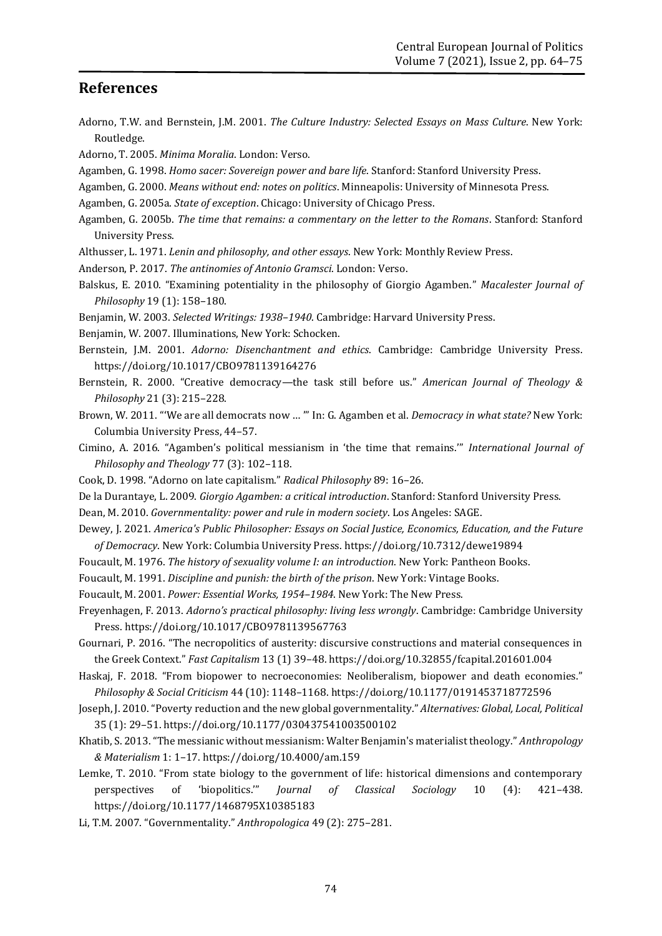#### **References**

- Adorno, T.W. and Bernstein, J.M. 2001. *The Culture Industry: Selected Essays on Mass Culture*. New York: Routledge.
- Adorno, T. 2005. *Minima Moralia*. London: Verso.
- Agamben, G. 1998. *Homo sacer: Sovereign power and bare life*. Stanford: Stanford University Press.
- Agamben, G. 2000. *Means without end: notes on politics*. Minneapolis: University of Minnesota Press.
- Agamben, G. 2005a. *State of exception*. Chicago: University of Chicago Press.
- Agamben, G. 2005b. *The time that remains: a commentary on the letter to the Romans*. Stanford: Stanford University Press.
- Althusser, L. 1971. *Lenin and philosophy, and other essays*. New York: Monthly Review Press.
- Anderson, P. 2017. *The antinomies of Antonio Gramsci*. London: Verso.
- Balskus, E. 2010. "Examining potentiality in the philosophy of Giorgio Agamben." *Macalester Journal of Philosophy* 19 (1): 158–180.
- Benjamin, W. 2003. *Selected Writings: 1938–1940*. Cambridge: Harvard University Press.
- Benjamin, W. 2007. Illuminations, New York: Schocken.
- Bernstein, J.M. 2001. *Adorno: Disenchantment and ethics*. Cambridge: Cambridge University Press. <https://doi.org/10.1017/CBO9781139164276>
- Bernstein, R. 2000. "Creative democracy—the task still before us." *American Journal of Theology & Philosophy* 21 (3): 215–228.
- Brown, W. 2011. "'We are all democrats now … '" In: G. Agamben et al. *Democracy in what state?* New York: Columbia University Press, 44–57.
- Cimino, A. 2016. "Agamben's political messianism in 'the time that remains.'" *International Journal of Philosophy and Theology* 77 (3): 102–118.
- Cook, D. 1998. "Adorno on late capitalism." *Radical Philosophy* 89: 16–26.
- De la Durantaye, L. 2009. *Giorgio Agamben: a critical introduction*. Stanford: Stanford University Press.
- Dean, M. 2010. *Governmentality: power and rule in modern society*. Los Angeles: SAGE.
- Dewey, J. 2021. *America's Public Philosopher: Essays on Social Justice, Economics, Education, and the Future of Democracy*. New York: Columbia University Press. <https://doi.org/10.7312/dewe19894>
- Foucault, M. 1976. *The history of sexuality volume I: an introduction*. New York: Pantheon Books.
- Foucault, M. 1991. *Discipline and punish: the birth of the prison*. New York: Vintage Books.
- Foucault, M. 2001. *Power: Essential Works, 1954–1984*. New York: The New Press.
- Freyenhagen, F. 2013. *Adorno's practical philosophy: living less wrongly*. Cambridge: Cambridge University Press. <https://doi.org/10.1017/CBO9781139567763>
- Gournari, P. 2016. "The necropolitics of austerity: discursive constructions and material consequences in the Greek Context." *Fast Capitalism* 13 (1) 39–48. <https://doi.org/10.32855/fcapital.201601.004>
- Haskaj, F. 2018. "From biopower to necroeconomies: Neoliberalism, biopower and death economies." *Philosophy & Social Criticism* 44 (10): 1148–1168. <https://doi.org/10.1177/0191453718772596>
- Joseph, J. 2010. "Poverty reduction and the new global governmentality." *Alternatives: Global, Local, Political* 35 (1): 29–51. <https://doi.org/10.1177/030437541003500102>
- Khatib, S. 2013. "The messianic without messianism: Walter Benjamin's materialist theology." *Anthropology & Materialism* 1: 1–17. <https://doi.org/10.4000/am.159>
- Lemke, T. 2010. "From state biology to the government of life: historical dimensions and contemporary perspectives of 'biopolitics.'" *Journal of Classical Sociology* 10 (4): 421–438. <https://doi.org/10.1177/1468795X10385183>
- Li, T.M. 2007. "Governmentality." *Anthropologica* 49 (2): 275–281.